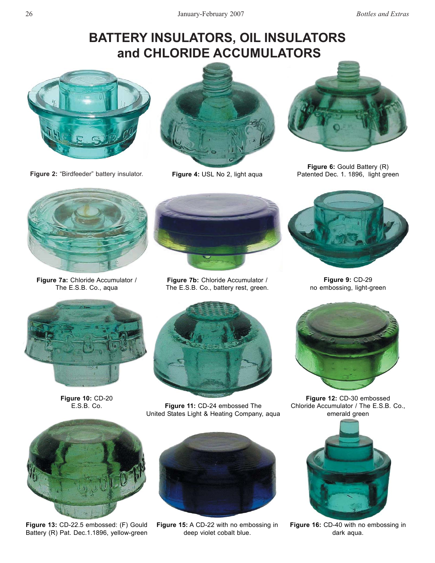# **BATTERY INSULATORS, OIL INSULATORS and CHLORIDE ACCUMULATORS**



Figure 2: "Birdfeeder" battery insulator.



**Figure 4:** USL No 2, light aqua



**Figure 6:** Gould Battery (R) Patented Dec. 1. 1896, light green



**Figure 7a:** Chloride Accumulator / The E.S.B. Co., aqua



**Figure 7b:** Chloride Accumulator / The E.S.B. Co., battery rest, green.



**Figure 9:** CD-29 no embossing, light-green



**Figure 10:** CD-20 E.S.B. Co.



**Figure 13:** CD-22.5 embossed: (F) Gould Battery (R) Pat. Dec.1.1896, yellow-green



**Figure 11:** CD-24 embossed The United States Light & Heating Company, aqua



**Figure 15:** A CD-22 with no embossing in deep violet cobalt blue.



**Figure 12:** CD-30 embossed Chloride Accumulator / The E.S.B. Co., emerald green



**Figure 16:** CD-40 with no embossing in dark aqua.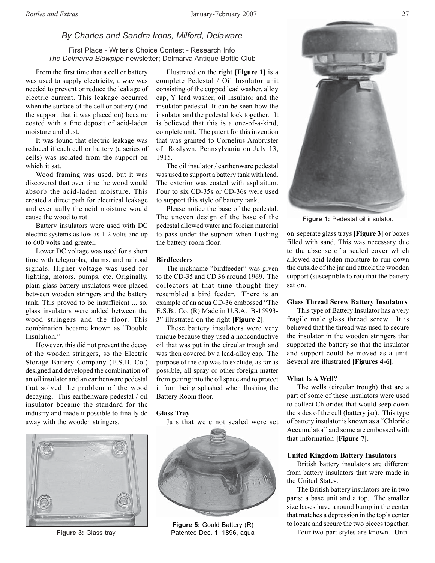## *By Charles and Sandra Irons, Milford, Delaware*

## First Place - Writer's Choice Contest - Research Info *The Delmarva Blowpipe* newsletter; Delmarva Antique Bottle Club

From the first time that a cell or battery was used to supply electricity, a way was needed to prevent or reduce the leakage of electric current. This leakage occurred when the surface of the cell or battery (and the support that it was placed on) became coated with a fine deposit of acid-laden moisture and dust.

It was found that electric leakage was reduced if each cell or battery (a series of cells) was isolated from the support on which it sat.

Wood framing was used, but it was discovered that over time the wood would absorb the acid-laden moisture. This created a direct path for electrical leakage and eventually the acid moisture would cause the wood to rot.

Battery insulators were used with DC electric systems as low as 1-2 volts and up to 600 volts and greater.

Lower DC voltage was used for a short time with telegraphs, alarms, and railroad signals. Higher voltage was used for lighting, motors, pumps, etc. Originally, plain glass battery insulators were placed between wooden stringers and the battery tank. This proved to be insufficient ... so, glass insulators were added between the wood stringers and the floor. This combination became known as "Double Insulation."

However, this did not prevent the decay of the wooden stringers, so the Electric Storage Battery Company (E.S.B. Co.) designed and developed the combination of an oil insulator and an earthenware pedestal that solved the problem of the wood decaying. This earthenware pedestal / oil insulator became the standard for the industry and made it possible to finally do away with the wooden stringers.



**Figure 3:** Glass tray.

Illustrated on the right **[Figure 1]** is a complete Pedestal / Oil Insulator unit consisting of the cupped lead washer, alloy cap, Y lead washer, oil insulator and the insulator pedestal. It can be seen how the insulator and the pedestal lock together. It is believed that this is a one-of-a-kind, complete unit. The patent for this invention that was granted to Cornelius Ambruster of Roslywn, Pennsylvania on July 13, 1915.

The oil insulator / earthenware pedestal was used to support a battery tank with lead. The exterior was coated with asphaitum. Four to six CD-35s or CD-36s were used to support this style of battery tank.

Please notice the base of the pedestal. The uneven design of the base of the pedestal allowed water and foreign material to pass under the support when flushing the battery room floor.

#### **Birdfeeders**

The nickname "birdfeeder" was given to the CD-35 and CD 36 around 1969. The collectors at that time thought they resembled a bird feeder. There is an example of an aqua CD-36 embossed "The E.S.B.. Co. (R) Made in U.S.A. B-15993- 3" illustrated on the right **[Figure 2]**.

These battery insulators were very unique because they used a nonconductive oil that was put in the circular trough and was then covered by a lead-alloy cap. The purpose of the cap was to exclude, as far as possible, all spray or other foreign matter from getting into the oil space and to protect it from being splashed when flushing the Battery Room floor.

#### **Glass Tray**

Jars that were not sealed were set



**Figure 5:** Gould Battery (R) Patented Dec. 1. 1896, aqua



**Figure 1:** Pedestal oil insulator.

on seperate glass trays **[Figure 3]** or boxes filled with sand. This was necessary due to the absense of a sealed cover which allowed acid-laden moisture to run down the outside of the jar and attack the wooden support (susceptible to rot) that the battery sat on.

#### **Glass Thread Screw Battery Insulators**

This type of Battery Insulator has a very fragile male glass thread screw. It is believed that the thread was used to secure the insulator in the wooden stringers that supported the battery so that the insulator and support could be moved as a unit. Several are illustrated **[Figures 4-6]**.

#### **What Is A Well?**

The wells (circular trough) that are a part of some of these insulators were used to collect Chlorides that would seep down the sides of the cell (battery jar). This type of battery insulator is known as a "Chloride Accumulator" and some are embossed with that information **[Figure 7]**.

#### **United Kingdom Battery Insulators**

British battery insulators are different from battery insulators that were made in the United States.

The British battery insulators are in two parts: a base unit and a top. The smaller size bases have a round bump in the center that matches a depression in the top's center to locate and secure the two pieces together.

Four two-part styles are known. Until